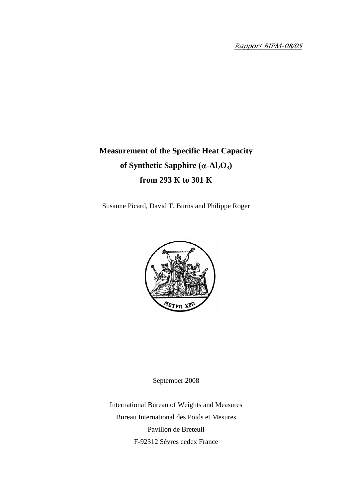Rapport BIPM-08/05

# **Measurement of the Specific Heat Capacity of Synthetic Sapphire (**α**-Al2O3) from 293 K to 301 K**

Susanne Picard, David T. Burns and Philippe Roger



September 2008

International Bureau of Weights and Measures Bureau International des Poids et Mesures Pavillon de Breteuil F-92312 Sèvres cedex France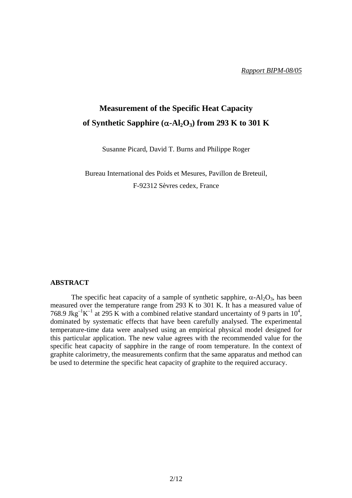# **Measurement of the Specific Heat Capacity of Synthetic Sapphire (** $\alpha$ **-Al<sub>2</sub>O<sub>3</sub>) from 293 K to 301 K**

Susanne Picard, David T. Burns and Philippe Roger

Bureau International des Poids et Mesures, Pavillon de Breteuil, F-92312 Sèvres cedex, France

## **ABSTRACT**

The specific heat capacity of a sample of synthetic sapphire,  $\alpha$ -Al<sub>2</sub>O<sub>3</sub>, has been measured over the temperature range from 293 K to 301 K. It has a measured value of 768.9 Jkg<sup>-1</sup>K<sup>-1</sup> at 295 K with a combined relative standard uncertainty of 9 parts in 10<sup>4</sup>, dominated by systematic effects that have been carefully analysed. The experimental temperature-time data were analysed using an empirical physical model designed for this particular application. The new value agrees with the recommended value for the specific heat capacity of sapphire in the range of room temperature. In the context of graphite calorimetry, the measurements confirm that the same apparatus and method can be used to determine the specific heat capacity of graphite to the required accuracy.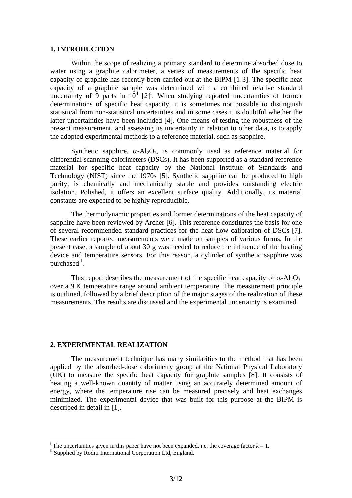#### **1. INTRODUCTION**

Within the scope of realizing a primary standard to determine absorbed dose to water using a graphite calorimeter, a series of measurements of the specific heat capacity of graphite has recently been carried out at the BIPM [1-3]. The specific heat capacity of a graphite sample was determined with a combined relative standard uncerta[i](#page-2-0)nty of 9 parts in  $10^4$  [2]<sup>i</sup>. When studying reported uncertainties of former determinations of specific heat capacity, it is sometimes not possible to distinguish statistical from non-statistical uncertainties and in some cases it is doubtful whether the latter uncertainties have been included [4]. One means of testing the robustness of the present measurement, and assessing its uncertainty in relation to other data, is to apply the adopted experimental methods to a reference material, such as sapphire.

Synthetic sapphire,  $\alpha$ -Al<sub>2</sub>O<sub>3</sub>, is commonly used as reference material for differential scanning calorimeters (DSCs). It has been supported as a standard reference material for specific heat capacity by the National Institute of Standards and Technology (NIST) since the 1970s [5]. Synthetic sapphire can be produced to high purity, is chemically and mechanically stable and provides outstanding electric isolation. Polished, it offers an excellent surface quality. Additionally, its material constants are expected to be highly reproducible.

The thermodynamic properties and former determinations of the heat capacity of sapphire have been reviewed by Archer [6]. This reference constitutes the basis for one of several recommended standard practices for the heat flow calibration of DSCs [7]. These earlier reported measurements were made on samples of various forms. In the present case, a sample of about 30 g was needed to reduce the influence of the heating device and temperature sensors. For this reason, a cylinder of synthetic sapphire was purchased<sup>[ii](#page-2-1)</sup>.

This report describes the measurement of the specific heat capacity of  $\alpha$ -Al<sub>2</sub>O<sub>3</sub> over a 9 K temperature range around ambient temperature. The measurement principle is outlined, followed by a brief description of the major stages of the realization of these measurements. The results are discussed and the experimental uncertainty is examined.

#### **2. EXPERIMENTAL REALIZATION**

The measurement technique has many similarities to the method that has been applied by the absorbed-dose calorimetry group at the National Physical Laboratory (UK) to measure the specific heat capacity for graphite samples [8]. It consists of heating a well-known quantity of matter using an accurately determined amount of energy, where the temperature rise can be measured precisely and heat exchanges minimized. The experimental device that was built for this purpose at the BIPM is described in detail in [1].

 $\overline{a}$ 

<span id="page-2-0"></span><sup>&</sup>lt;sup>i</sup> The uncertainties given in this paper have not been expanded, i.e. the coverage factor  $k = 1$ .<br><sup>ii</sup> Supplied by Roditi International Corporation Ltd, England.

<span id="page-2-1"></span>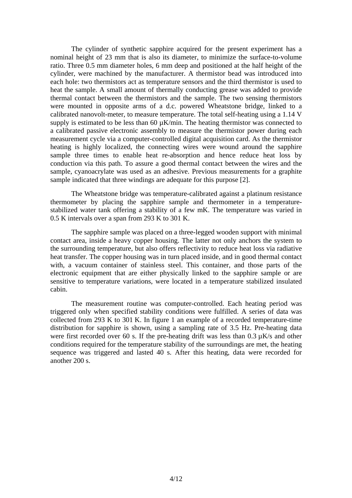The cylinder of synthetic sapphire acquired for the present experiment has a nominal height of 23 mm that is also its diameter, to minimize the surface-to-volume ratio. Three 0.5 mm diameter holes, 6 mm deep and positioned at the half height of the cylinder, were machined by the manufacturer. A thermistor bead was introduced into each hole: two thermistors act as temperature sensors and the third thermistor is used to heat the sample. A small amount of thermally conducting grease was added to provide thermal contact between the thermistors and the sample. The two sensing thermistors were mounted in opposite arms of a d.c. powered Wheatstone bridge, linked to a calibrated nanovolt-meter, to measure temperature. The total self-heating using a 1.14 V supply is estimated to be less than 60  $\mu$ K/min. The heating thermistor was connected to a calibrated passive electronic assembly to measure the thermistor power during each measurement cycle via a computer-controlled digital acquisition card. As the thermistor heating is highly localized, the connecting wires were wound around the sapphire sample three times to enable heat re-absorption and hence reduce heat loss by conduction via this path. To assure a good thermal contact between the wires and the sample, cyanoacrylate was used as an adhesive. Previous measurements for a graphite sample indicated that three windings are adequate for this purpose [2].

The Wheatstone bridge was temperature-calibrated against a platinum resistance thermometer by placing the sapphire sample and thermometer in a temperaturestabilized water tank offering a stability of a few mK. The temperature was varied in 0.5 K intervals over a span from 293 K to 301 K.

The sapphire sample was placed on a three-legged wooden support with minimal contact area, inside a heavy copper housing. The latter not only anchors the system to the surrounding temperature, but also offers reflectivity to reduce heat loss via radiative heat transfer. The copper housing was in turn placed inside, and in good thermal contact with, a vacuum container of stainless steel. This container, and those parts of the electronic equipment that are either physically linked to the sapphire sample or are sensitive to temperature variations, were located in a temperature stabilized insulated cabin.

The measurement routine was computer-controlled. Each heating period was triggered only when specified stability conditions were fulfilled. A series of data was collected from 293 K to 301 K. In figure 1 an example of a recorded temperature-time distribution for sapphire is shown, using a sampling rate of 3.5 Hz. Pre-heating data were first recorded over 60 s. If the pre-heating drift was less than  $0.3 \mu$ K/s and other conditions required for the temperature stability of the surroundings are met, the heating sequence was triggered and lasted 40 s. After this heating, data were recorded for another 200 s.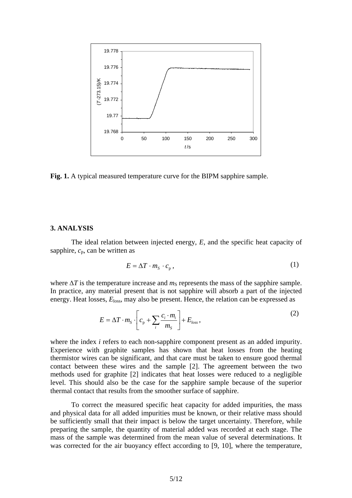

**Fig. 1.** A typical measured temperature curve for the BIPM sapphire sample.

#### **3. ANALYSIS**

The ideal relation between injected energy, *E*, and the specific heat capacity of sapphire,  $c_p$ , can be written as

$$
E = \Delta T \cdot m_{\rm s} \cdot c_{\rm p} \,,\tag{1}
$$

where  $\Delta T$  is the temperature increase and  $m<sub>S</sub>$  represents the mass of the sapphire sample. In practice, any material present that is not sapphire will absorb a part of the injected energy. Heat losses,  $E<sub>loss</sub>$ , may also be present. Hence, the relation can be expressed as

$$
E = \Delta T \cdot m_{S} \cdot \left[ c_{p} + \sum_{i} \frac{c_{i} \cdot m_{i}}{m_{S}} \right] + E_{loss}, \qquad (2)
$$

where the index *i* refers to each non-sapphire component present as an added impurity. Experience with graphite samples has shown that heat losses from the heating thermistor wires can be significant, and that care must be taken to ensure good thermal contact between these wires and the sample [2]. The agreement between the two methods used for graphite [2] indicates that heat losses were reduced to a negligible level. This should also be the case for the sapphire sample because of the superior thermal contact that results from the smoother surface of sapphire.

To correct the measured specific heat capacity for added impurities, the mass and physical data for all added impurities must be known, or their relative mass should be sufficiently small that their impact is below the target uncertainty. Therefore, while preparing the sample, the quantity of material added was recorded at each stage. The mass of the sample was determined from the mean value of several determinations. It was corrected for the air buoyancy effect according to [9, 10], where the temperature,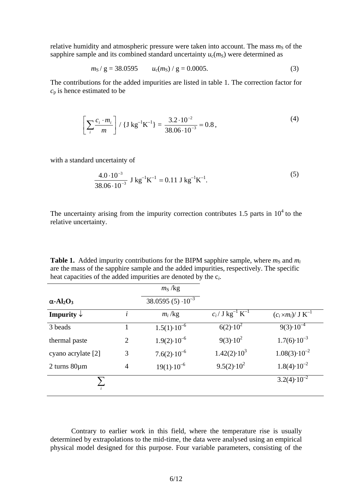relative humidity and atmospheric pressure were taken into account. The mass  $m<sub>S</sub>$  of the sapphire sample and its combined standard uncertainty  $u_c(m_S)$  were determined as

$$
m_{\rm S} / g = 38.0595 \qquad u_{\rm c}(m_{\rm S}) / g = 0.0005. \tag{3}
$$

The contributions for the added impurities are listed in table 1. The correction factor for  $c_p$  is hence estimated to be

$$
\left[\sum_{i} \frac{c_i \cdot m_i}{m}\right] / \{J \, \text{kg}^{-1} \text{K}^{-1}\} = \frac{3.2 \cdot 10^{-2}}{38.06 \cdot 10^{-3}} = 0.8 \,,\tag{4}
$$

with a standard uncertainty of

$$
\frac{4.0 \cdot 10^{-3}}{38.06 \cdot 10^{-3}} \text{ J kg}^{-1} \text{K}^{-1} = 0.11 \text{ J kg}^{-1} \text{K}^{-1}.
$$
 (5)

The uncertainty arising from the impurity correction contributes 1.5 parts in  $10<sup>4</sup>$  to the relative uncertainty.

**Table 1.** Added impurity contributions for the BIPM sapphire sample, where  $m<sub>S</sub>$  and  $m<sub>i</sub>$ are the mass of the sapphire sample and the added impurities, respectively. The specific heat capacities of the added impurities are denoted by the c*i*.

|                                          |                | $mS$ /kg                    |                                          |                              |
|------------------------------------------|----------------|-----------------------------|------------------------------------------|------------------------------|
| $\alpha$ -Al <sub>2</sub> O <sub>3</sub> |                | 38.0595 (5) $\cdot 10^{-3}$ |                                          |                              |
| Impurity $\downarrow$                    | $\mathbf{L}$   | $m_i$ /kg                   | $c_i / J \text{ kg}^{-1} \text{ K}^{-1}$ | $(c_i \times m_i)/~J~K^{-1}$ |
| 3 beads                                  | 1              | $1.5(1)\cdot10^{-6}$        | $6(2) \cdot 10^2$                        | $9(3) \cdot 10^{-4}$         |
| thermal paste                            | $\overline{2}$ | $1.9(2) \cdot 10^{-6}$      | $9(3) \cdot 10^2$                        | $1.7(6)\cdot10^{-3}$         |
| cyano acrylate [2]                       | 3              | $7.6(2) \cdot 10^{-6}$      | $1.42(2) \cdot 10^3$                     | $1.08(3) \cdot 10^{-2}$      |
| $2 \text{ turns } 80 \mu \text{m}$       | 4              | $19(1)\cdot10^{-6}$         | $9.5(2) \cdot 10^2$                      | $1.8(4) \cdot 10^{-2}$       |
|                                          |                |                             |                                          | $3.2(4)\cdot10^{-2}$         |

 Contrary to earlier work in this field, where the temperature rise is usually determined by extrapolations to the mid-time, the data were analysed using an empirical physical model designed for this purpose. Four variable parameters, consisting of the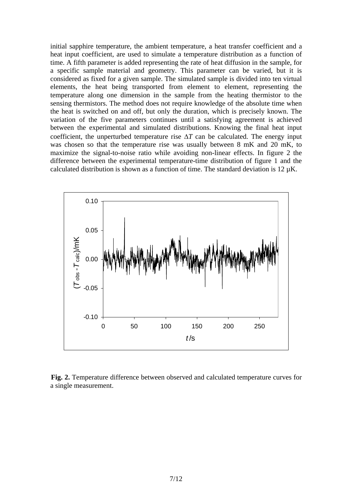initial sapphire temperature, the ambient temperature, a heat transfer coefficient and a heat input coefficient, are used to simulate a temperature distribution as a function of time. A fifth parameter is added representing the rate of heat diffusion in the sample, for a specific sample material and geometry. This parameter can be varied, but it is considered as fixed for a given sample. The simulated sample is divided into ten virtual elements, the heat being transported from element to element, representing the temperature along one dimension in the sample from the heating thermistor to the sensing thermistors. The method does not require knowledge of the absolute time when the heat is switched on and off, but only the duration, which is precisely known. The variation of the five parameters continues until a satisfying agreement is achieved between the experimental and simulated distributions. Knowing the final heat input coefficient, the unperturbed temperature rise  $\Delta T$  can be calculated. The energy input was chosen so that the temperature rise was usually between 8 mK and 20 mK, to maximize the signal-to-noise ratio while avoiding non-linear effects. In figure 2 the difference between the experimental temperature-time distribution of figure 1 and the calculated distribution is shown as a function of time. The standard deviation is  $12 \mu K$ .



**Fig. 2.** Temperature difference between observed and calculated temperature curves for a single measurement.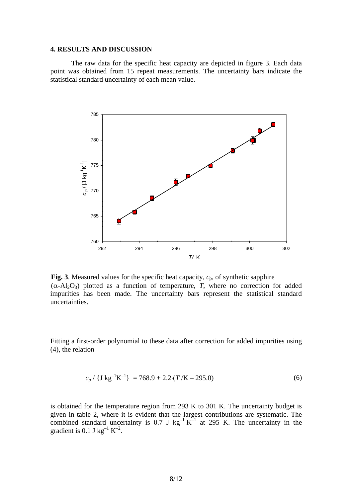#### **4. RESULTS AND DISCUSSION**

The raw data for the specific heat capacity are depicted in figure 3. Each data point was obtained from 15 repeat measurements. The uncertainty bars indicate the statistical standard uncertainty of each mean value.



**Fig. 3**. Measured values for the specific heat capacity,  $c_p$ , of synthetic sapphire (α-Al2O3) plotted as a function of temperature, *T*, where no correction for added impurities has been made. The uncertainty bars represent the statistical standard uncertainties.

Fitting a first-order polynomial to these data after correction for added impurities using (4), the relation

$$
c_p / \{J \, \text{kg}^{-1} \text{K}^{-1}\} = 768.9 + 2.2 \cdot (T / \text{K} - 295.0) \tag{6}
$$

is obtained for the temperature region from 293 K to 301 K. The uncertainty budget is given in table 2, where it is evident that the largest contributions are systematic. The combined standard uncertainty is 0.7 J  $kg^{-1} K^{-1}$  at 295 K. The uncertainty in the gradient is 0.1 J kg<sup>-1</sup> K<sup>-2</sup>.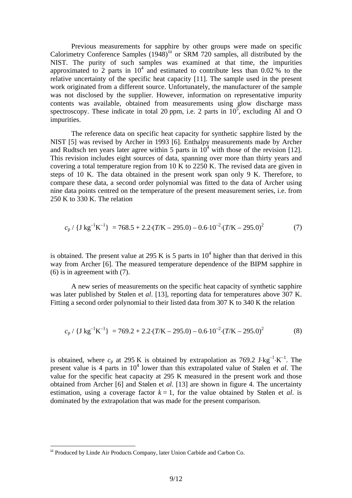Previous measurements for sapphire by other groups were made on specific Calorimetry Conference Samples (1948)<sup>[iii](#page-8-0)</sup> or SRM 720 samples, all distributed by the NIST. The purity of such samples was examined at that time, the impurities approximated to 2 parts in  $10^4$  and estimated to contribute less than 0.02 % to the relative uncertainty of the specific heat capacity [11]. The sample used in the present work originated from a different source. Unfortunately, the manufacturer of the sample was not disclosed by the supplier. However, information on representative impurity contents was available, obtained from measurements using glow discharge mass spectroscopy. These indicate in total 20 ppm, i.e. 2 parts in  $10^5$ , excluding Al and O impurities.

The reference data on specific heat capacity for synthetic sapphire listed by the NIST [5] was revised by Archer in 1993 [6]. Enthalpy measurements made by Archer and Rudtsch ten years later agree within 5 parts in  $10<sup>4</sup>$  with those of the revision [12]. This revision includes eight sources of data, spanning over more than thirty years and covering a total temperature region from 10 K to 2250 K. The revised data are given in steps of 10 K. The data obtained in the present work span only 9 K. Therefore, to compare these data, a second order polynomial was fitted to the data of Archer using nine data points centred on the temperature of the present measurement series, i.e. from 250 K to 330 K. The relation

$$
c_p / \{J \, \text{kg}^{-1} \text{K}^{-1}\} = 768.5 + 2.2 \cdot (T/\text{K} - 295.0) - 0.6 \cdot 10^{-2} \cdot (T/\text{K} - 295.0)^2 \tag{7}
$$

is obtained. The present value at 295 K is 5 parts in  $10^4$  higher than that derived in this way from Archer [6]. The measured temperature dependence of the BIPM sapphire in (6) is in agreement with (7).

A new series of measurements on the specific heat capacity of synthetic sapphire was later published by Stølen et *al*. [13], reporting data for temperatures above 307 K. Fitting a second order polynomial to their listed data from 307 K to 340 K the relation

$$
c_p / \{J \, \text{kg}^{-1} \text{K}^{-1}\} = 769.2 + 2.2 \cdot (T/\text{K} - 295.0) - 0.6 \cdot 10^{-2} \cdot (T/\text{K} - 295.0)^2 \tag{8}
$$

is obtained, where  $c_p$  at 295 K is obtained by extrapolation as 769.2 J⋅kg<sup>-1</sup>⋅K<sup>-1</sup>. The present value is 4 parts in 10<sup>4</sup> lower than this extrapolated value of Stølen et *al*. The value for the specific heat capacity at 295 K measured in the present work and those obtained from Archer [6] and Stølen et *al*. [13] are shown in figure 4. The uncertainty estimation, using a coverage factor  $k = 1$ , for the value obtained by Stølen et *al.* is dominated by the extrapolation that was made for the present comparison.

 $\overline{a}$ 

<span id="page-8-0"></span>iii Produced by Linde Air Products Company, later Union Carbide and Carbon Co.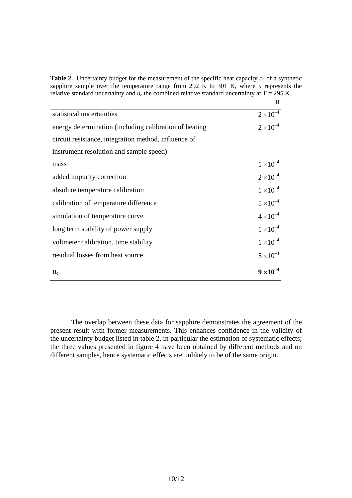**Table 2.** Uncertainty budget for the measurement of the specific heat capacity  $c_S$  of a synthetic sapphire sample over the temperature range from 292 K to 301 K, where *u* represents the relative standard uncertainty and  $u_c$  the combined relative standard uncertainty at T = 295 K.

|                                                        | $\boldsymbol{u}$   |
|--------------------------------------------------------|--------------------|
| statistical uncertainties                              | $2 \times 10^{-4}$ |
| energy determination (including calibration of heating | $2 \times 10^{-4}$ |
| circuit resistance, integration method, influence of   |                    |
| instrument resolution and sample speed)                |                    |
| mass                                                   | $1 \times 10^{-4}$ |
| added impurity correction                              | $2 \times 10^{-4}$ |
| absolute temperature calibration                       | $1 \times 10^{-4}$ |
| calibration of temperature difference                  | $5 \times 10^{-4}$ |
| simulation of temperature curve                        | $4 \times 10^{-4}$ |
| long term stability of power supply                    | $1 \times 10^{-4}$ |
| voltmeter calibration, time stability                  | $1 \times 10^{-4}$ |
| residual losses from heat source                       | $5 \times 10^{-4}$ |
| $\boldsymbol{u}_{c}$                                   | $9 \times 10$      |

The overlap between these data for sapphire demonstrates the agreement of the present result with former measurements. This enhances confidence in the validity of the uncertainty budget listed in table 2, in particular the estimation of systematic effects; the three values presented in figure 4 have been obtained by different methods and on different samples, hence systematic effects are unlikely to be of the same origin.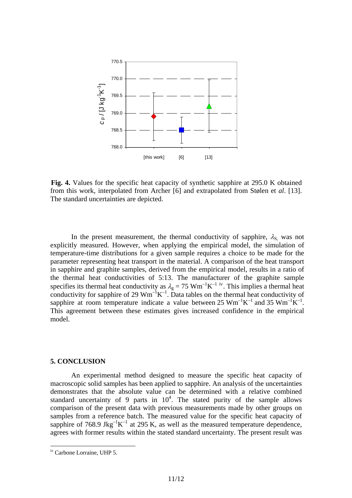

**Fig. 4.** Values for the specific heat capacity of synthetic sapphire at 295.0 K obtained from this work, interpolated from Archer [6] and extrapolated from Stølen et *al*. [13]. The standard uncertainties are depicted.

In the present measurement, the thermal conductivity of sapphire,  $\lambda_s$  was not explicitly measured. However, when applying the empirical model, the simulation of temperature-time distributions for a given sample requires a choice to be made for the parameter representing heat transport in the material. A comparison of the heat transport in sapphire and graphite samples, derived from the empirical model, results in a ratio of the thermal heat conductivities of 5:13. The manufacturer of the graphite sample specifies its thermal heat conduct[iv](#page-10-0)ity as  $\lambda_g = 75 \text{ Wm}^{-1} \text{K}^{-1}$  iv. This implies a thermal heat conductivity for sapphire of 29  $Wm^{-1}K^{-1}$ . Data tables on the thermal heat conductivity of sapphire at room temperature indicate a value between 25  $Wm^{-1}K^{-1}$  and 35  $Wm^{-1}K^{-1}$ . This agreement between these estimates gives increased confidence in the empirical model.

### **5. CONCLUSION**

An experimental method designed to measure the specific heat capacity of macroscopic solid samples has been applied to sapphire. An analysis of the uncertainties demonstrates that the absolute value can be determined with a relative combined standard uncertainty of 9 parts in  $10^4$ . The stated purity of the sample allows comparison of the present data with previous measurements made by other groups on samples from a reference batch. The measured value for the specific heat capacity of sapphire of 768.9 Jkg<sup>-1</sup>K<sup>-1</sup> at 295 K, as well as the measured temperature dependence, agrees with former results within the stated standard uncertainty. The present result was

 $\overline{a}$ 

<span id="page-10-0"></span>iv Carbone Lorraine, UHP 5.